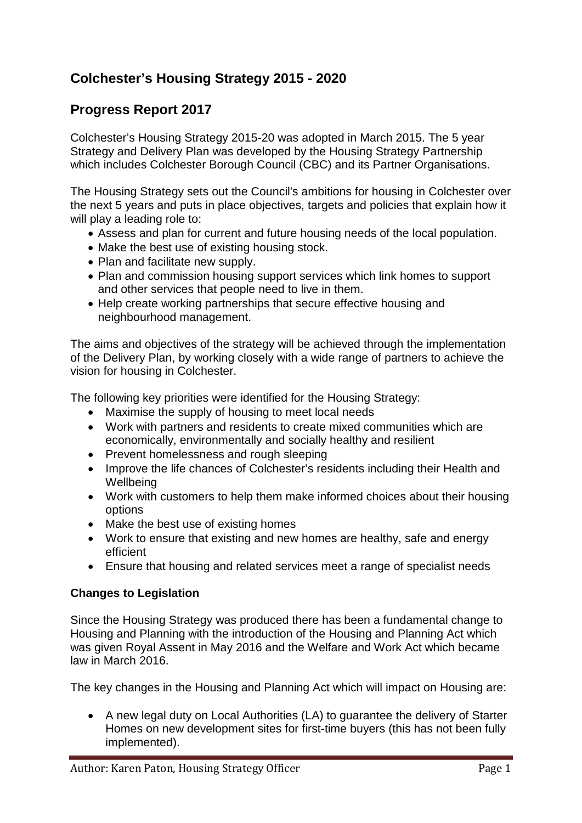# **Colchester's Housing Strategy 2015 - 2020**

## **Progress Report 2017**

Colchester's Housing Strategy 2015-20 was adopted in March 2015. The 5 year Strategy and Delivery Plan was developed by the Housing Strategy Partnership which includes Colchester Borough Council (CBC) and its Partner Organisations.

The Housing Strategy sets out the Council's ambitions for housing in Colchester over the next 5 years and puts in place objectives, targets and policies that explain how it will play a leading role to:

- Assess and plan for current and future housing needs of the local population.
- Make the best use of existing housing stock.
- Plan and facilitate new supply.
- Plan and commission housing support services which link homes to support and other services that people need to live in them.
- Help create working partnerships that secure effective housing and neighbourhood management.

The aims and objectives of the strategy will be achieved through the implementation of the Delivery Plan, by working closely with a wide range of partners to achieve the vision for housing in Colchester.

The following key priorities were identified for the Housing Strategy:

- Maximise the supply of housing to meet local needs
- Work with partners and residents to create mixed communities which are economically, environmentally and socially healthy and resilient
- Prevent homelessness and rough sleeping
- Improve the life chances of Colchester's residents including their Health and **Wellbeing**
- Work with customers to help them make informed choices about their housing options
- Make the best use of existing homes
- Work to ensure that existing and new homes are healthy, safe and energy efficient
- Ensure that housing and related services meet a range of specialist needs

### **Changes to Legislation**

Since the Housing Strategy was produced there has been a fundamental change to Housing and Planning with the introduction of the Housing and Planning Act which was given Royal Assent in May 2016 and the Welfare and Work Act which became law in March 2016.

The key changes in the Housing and Planning Act which will impact on Housing are:

• A new legal duty on Local Authorities (LA) to guarantee the delivery of Starter Homes on new development sites for first-time buyers (this has not been fully implemented).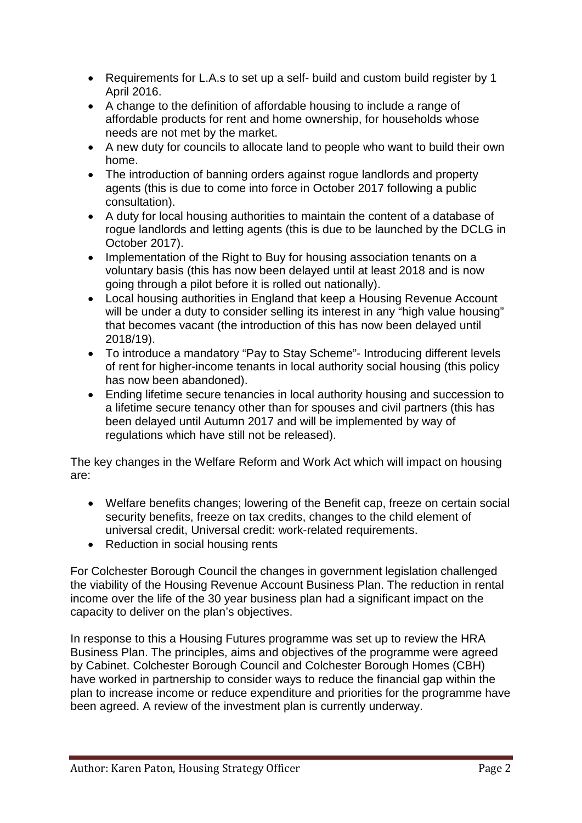- Requirements for L.A.s to set up a self- build and custom build register by 1 April 2016.
- A change to the definition of affordable housing to include a range of affordable products for rent and home ownership, for households whose needs are not met by the market.
- A new duty for councils to allocate land to people who want to build their own home.
- The introduction of banning orders against roque landlords and property agents (this is due to come into force in October 2017 following a public consultation).
- A duty for local housing authorities to maintain the content of a database of rogue landlords and letting agents (this is due to be launched by the DCLG in October 2017).
- Implementation of the Right to Buy for housing association tenants on a voluntary basis (this has now been delayed until at least 2018 and is now going through a pilot before it is rolled out nationally).
- Local housing authorities in England that keep a Housing Revenue Account will be under a duty to consider selling its interest in any "high value housing" that becomes vacant (the introduction of this has now been delayed until 2018/19).
- To introduce a mandatory "Pay to Stay Scheme"- Introducing different levels of rent for higher-income tenants in local authority social housing (this policy has now been abandoned).
- Ending lifetime secure tenancies in local authority housing and succession to a lifetime secure tenancy other than for spouses and civil partners (this has been delayed until Autumn 2017 and will be implemented by way of regulations which have still not be released).

The key changes in the Welfare Reform and Work Act which will impact on housing are:

- Welfare benefits changes; lowering of the Benefit cap, freeze on certain social security benefits, freeze on tax credits, changes to the child element of universal credit, Universal credit: work-related requirements.
- Reduction in social housing rents

For Colchester Borough Council the changes in government legislation challenged the viability of the Housing Revenue Account Business Plan. The reduction in rental income over the life of the 30 year business plan had a significant impact on the capacity to deliver on the plan's objectives.

In response to this a Housing Futures programme was set up to review the HRA Business Plan. The principles, aims and objectives of the programme were agreed by Cabinet. Colchester Borough Council and Colchester Borough Homes (CBH) have worked in partnership to consider ways to reduce the financial gap within the plan to increase income or reduce expenditure and priorities for the programme have been agreed. A review of the investment plan is currently underway.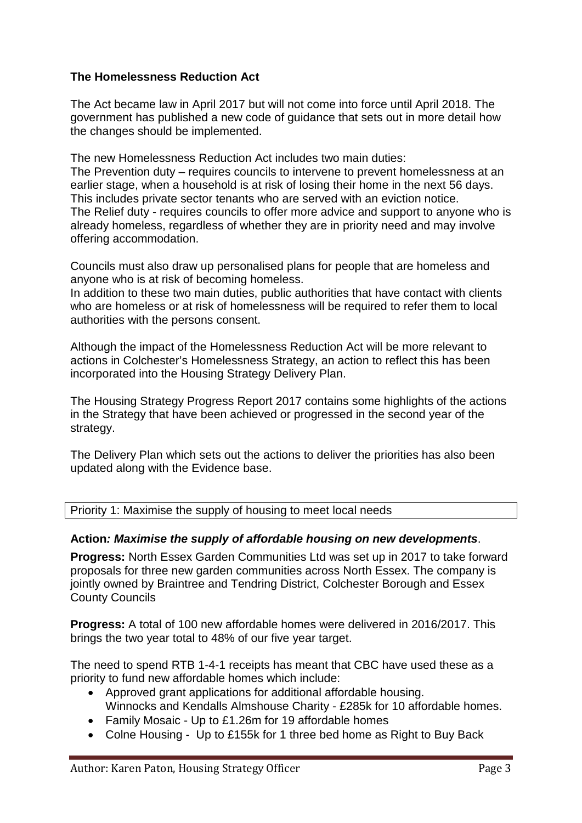### **The Homelessness Reduction Act**

The Act became law in April 2017 but will not come into force until April 2018. The government has published a new code of guidance that sets out in more detail how the changes should be implemented.

The new Homelessness Reduction Act includes two main duties: The Prevention duty – requires councils to intervene to prevent homelessness at an earlier stage, when a household is at risk of losing their home in the next 56 days. This includes private sector tenants who are served with an eviction notice. The Relief duty - requires councils to offer more advice and support to anyone who is already homeless, regardless of whether they are in priority need and may involve offering accommodation.

Councils must also draw up personalised plans for people that are homeless and anyone who is at risk of becoming homeless.

In addition to these two main duties, public authorities that have contact with clients who are homeless or at risk of homelessness will be required to refer them to local authorities with the persons consent.

Although the impact of the Homelessness Reduction Act will be more relevant to actions in Colchester's Homelessness Strategy, an action to reflect this has been incorporated into the Housing Strategy Delivery Plan.

The Housing Strategy Progress Report 2017 contains some highlights of the actions in the Strategy that have been achieved or progressed in the second year of the strategy.

The Delivery Plan which sets out the actions to deliver the priorities has also been updated along with the Evidence base.

Priority 1: Maximise the supply of housing to meet local needs

### **Action***: Maximise the supply of affordable housing on new developments*.

**Progress:** North Essex Garden Communities Ltd was set up in 2017 to take forward proposals for three new garden communities across North Essex. The company is jointly owned by Braintree and Tendring District, Colchester Borough and Essex County Councils

**Progress:** A total of 100 new affordable homes were delivered in 2016/2017. This brings the two year total to 48% of our five year target.

The need to spend RTB 1-4-1 receipts has meant that CBC have used these as a priority to fund new affordable homes which include:

- Approved grant applications for additional affordable housing. Winnocks and Kendalls Almshouse Charity - £285k for 10 affordable homes.
- Family Mosaic Up to £1.26m for 19 affordable homes
- Colne Housing Up to £155k for 1 three bed home as Right to Buy Back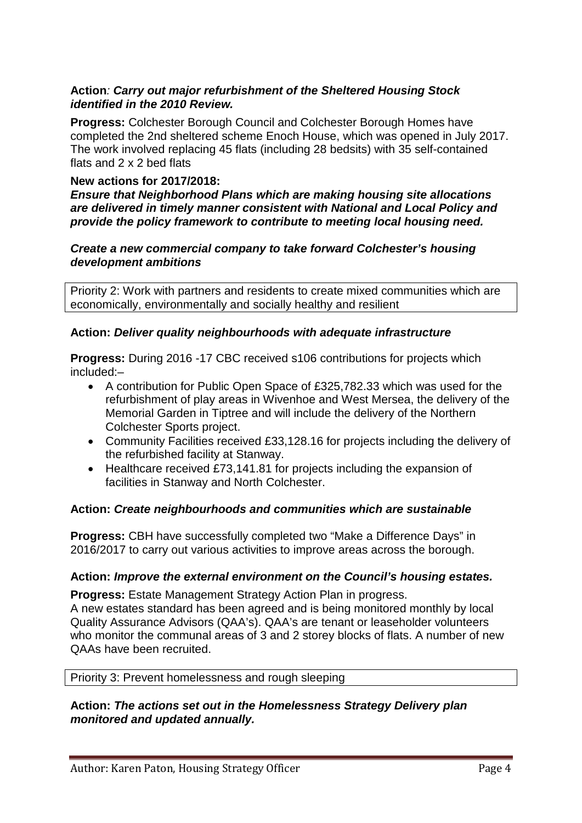### **Action***: Carry out major refurbishment of the Sheltered Housing Stock identified in the 2010 Review.*

**Progress:** Colchester Borough Council and Colchester Borough Homes have completed the 2nd sheltered scheme Enoch House, which was opened in July 2017. The work involved replacing 45 flats (including 28 bedsits) with 35 self-contained flats and 2 x 2 bed flats

### **New actions for 2017/2018:**

*Ensure that Neighborhood Plans which are making housing site allocations are delivered in timely manner consistent with National and Local Policy and provide the policy framework to contribute to meeting local housing need.*

### *Create a new commercial company to take forward Colchester's housing development ambitions*

Priority 2: Work with partners and residents to create mixed communities which are economically, environmentally and socially healthy and resilient

### **Action:** *Deliver quality neighbourhoods with adequate infrastructure*

**Progress:** During 2016 -17 CBC received s106 contributions for projects which included:–

- A contribution for Public Open Space of £325,782.33 which was used for the refurbishment of play areas in Wivenhoe and West Mersea, the delivery of the Memorial Garden in Tiptree and will include the delivery of the Northern Colchester Sports project.
- Community Facilities received £33,128.16 for projects including the delivery of the refurbished facility at Stanway.
- Healthcare received £73,141.81 for projects including the expansion of facilities in Stanway and North Colchester.

### **Action:** *Create neighbourhoods and communities which are sustainable*

**Progress:** CBH have successfully completed two "Make a Difference Days" in 2016/2017 to carry out various activities to improve areas across the borough.

### **Action:** *Improve the external environment on the Council's housing estates.*

**Progress:** Estate Management Strategy Action Plan in progress. A new estates standard has been agreed and is being monitored monthly by local Quality Assurance Advisors (QAA's). QAA's are tenant or leaseholder volunteers who monitor the communal areas of 3 and 2 storey blocks of flats. A number of new QAAs have been recruited.

#### Priority 3: Prevent homelessness and rough sleeping

### **Action:** *The actions set out in the Homelessness Strategy Delivery plan monitored and updated annually.*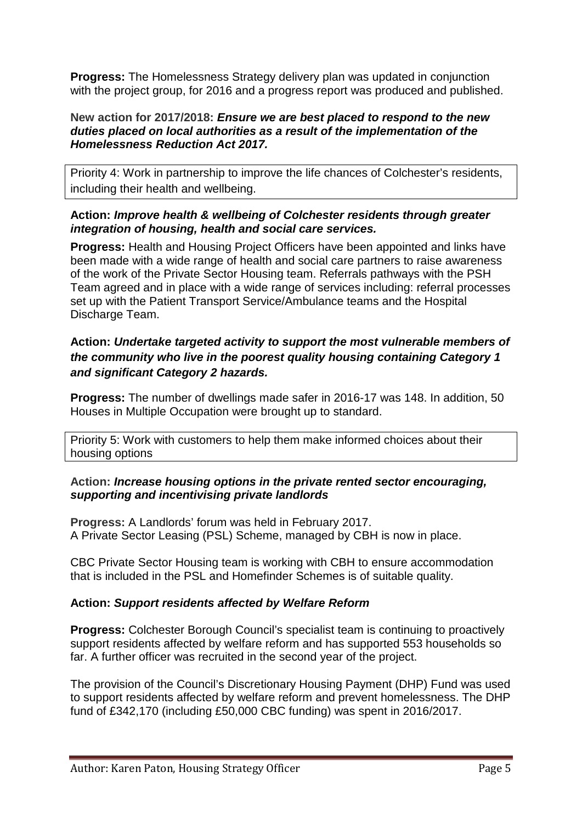**Progress:** The Homelessness Strategy delivery plan was updated in conjunction with the project group, for 2016 and a progress report was produced and published.

### **New action for 2017/2018:** *Ensure we are best placed to respond to the new duties placed on local authorities as a result of the implementation of the Homelessness Reduction Act 2017.*

Priority 4: Work in partnership to improve the life chances of Colchester's residents, including their health and wellbeing.

### **Action:** *Improve health & wellbeing of Colchester residents through greater integration of housing, health and social care services.*

**Progress:** Health and Housing Project Officers have been appointed and links have been made with a wide range of health and social care partners to raise awareness of the work of the Private Sector Housing team. Referrals pathways with the PSH Team agreed and in place with a wide range of services including: referral processes set up with the Patient Transport Service/Ambulance teams and the Hospital Discharge Team.

### **Action:** *Undertake targeted activity to support the most vulnerable members of the community who live in the poorest quality housing containing Category 1 and significant Category 2 hazards.*

**Progress:** The number of dwellings made safer in 2016-17 was 148. In addition, 50 Houses in Multiple Occupation were brought up to standard.

Priority 5: Work with customers to help them make informed choices about their housing options

### **Action:** *Increase housing options in the private rented sector encouraging, supporting and incentivising private landlords*

**Progress:** A Landlords' forum was held in February 2017. A Private Sector Leasing (PSL) Scheme, managed by CBH is now in place.

CBC Private Sector Housing team is working with CBH to ensure accommodation that is included in the PSL and Homefinder Schemes is of suitable quality.

### **Action:** *Support residents affected by Welfare Reform*

**Progress:** Colchester Borough Council's specialist team is continuing to proactively support residents affected by welfare reform and has supported 553 households so far. A further officer was recruited in the second year of the project.

The provision of the Council's Discretionary Housing Payment (DHP) Fund was used to support residents affected by welfare reform and prevent homelessness. The DHP fund of £342,170 (including £50,000 CBC funding) was spent in 2016/2017.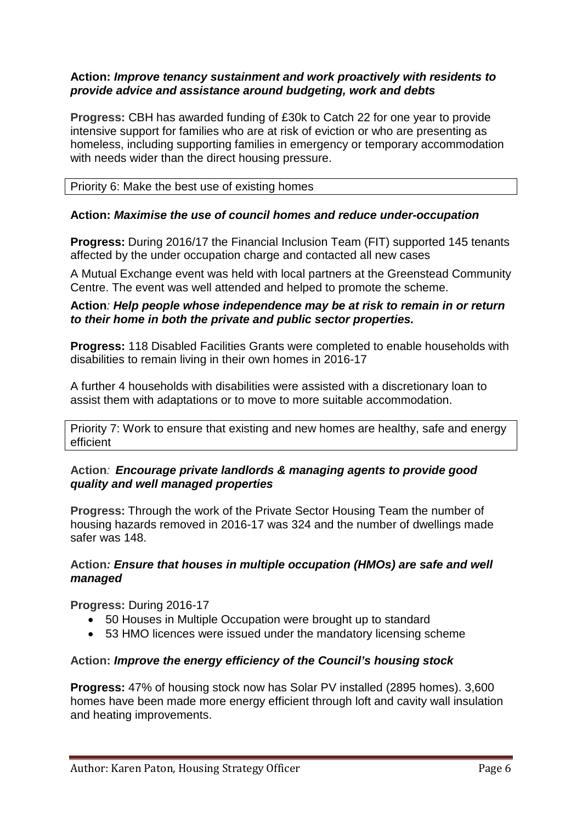### **Action:** *Improve tenancy sustainment and work proactively with residents to provide advice and assistance around budgeting, work and debts*

**Progress:** CBH has awarded funding of £30k to Catch 22 for one year to provide intensive support for families who are at risk of eviction or who are presenting as homeless, including supporting families in emergency or temporary accommodation with needs wider than the direct housing pressure.

#### Priority 6: Make the best use of existing homes

### **Action:** *Maximise the use of council homes and reduce under-occupation*

**Progress:** During 2016/17 the Financial Inclusion Team (FIT) supported 145 tenants affected by the under occupation charge and contacted all new cases

A Mutual Exchange event was held with local partners at the Greenstead Community Centre. The event was well attended and helped to promote the scheme.

### **Action***: Help people whose independence may be at risk to remain in or return to their home in both the private and public sector properties.*

**Progress:** 118 Disabled Facilities Grants were completed to enable households with disabilities to remain living in their own homes in 2016-17

A further 4 households with disabilities were assisted with a discretionary loan to assist them with adaptations or to move to more suitable accommodation.

Priority 7: Work to ensure that existing and new homes are healthy, safe and energy efficient

### **Action***: Encourage private landlords & managing agents to provide good quality and well managed properties*

**Progress:** Through the work of the Private Sector Housing Team the number of housing hazards removed in 2016-17 was 324 and the number of dwellings made safer was 148.

### **Action***: Ensure that houses in multiple occupation (HMOs) are safe and well managed*

**Progress:** During 2016-17

- 50 Houses in Multiple Occupation were brought up to standard
- 53 HMO licences were issued under the mandatory licensing scheme

### **Action:** *Improve the energy efficiency of the Council's housing stock*

**Progress:** 47% of housing stock now has Solar PV installed (2895 homes). 3,600 homes have been made more energy efficient through loft and cavity wall insulation and heating improvements.